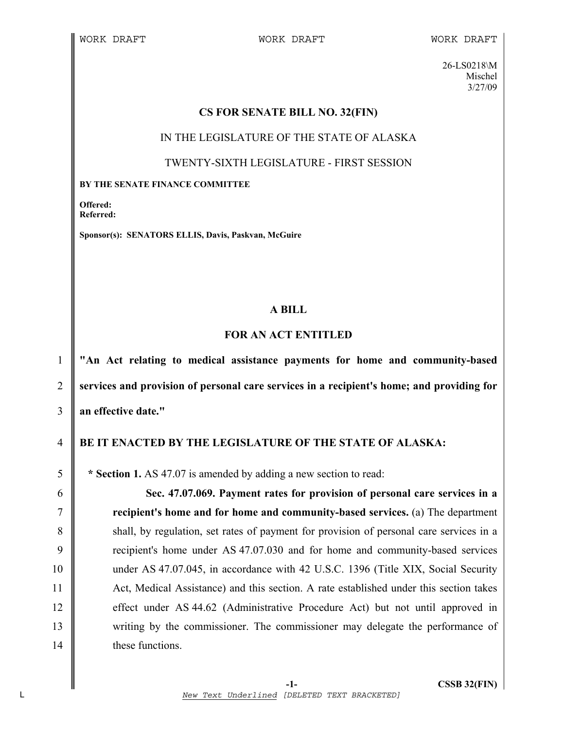26-LS0218\M Mischel 3/27/09

#### **CS FOR SENATE BILL NO. 32(FIN)**

IN THE LEGISLATURE OF THE STATE OF ALASKA

### TWENTY-SIXTH LEGISLATURE - FIRST SESSION

#### **BY THE SENATE FINANCE COMMITTEE**

**Offered: Referred:** 

**Sponsor(s): SENATORS ELLIS, Davis, Paskvan, McGuire** 

# **A BILL**

# **FOR AN ACT ENTITLED**

1 **"An Act relating to medical assistance payments for home and community-based**  2 **services and provision of personal care services in a recipient's home; and providing for**  3 **an effective date."** 

# 4 **BE IT ENACTED BY THE LEGISLATURE OF THE STATE OF ALASKA:**

5 **\* Section 1.** AS 47.07 is amended by adding a new section to read:

6 **Sec. 47.07.069. Payment rates for provision of personal care services in a**  7 **recipient's home and for home and community-based services.** (a) The department 8 shall, by regulation, set rates of payment for provision of personal care services in a 9 Tecipient's home under AS 47.07.030 and for home and community-based services 10 under AS 47.07.045, in accordance with 42 U.S.C. 1396 (Title XIX, Social Security 11 Act, Medical Assistance) and this section. A rate established under this section takes 12 effect under AS 44.62 (Administrative Procedure Act) but not until approved in 13 writing by the commissioner. The commissioner may delegate the performance of 14 **these functions.**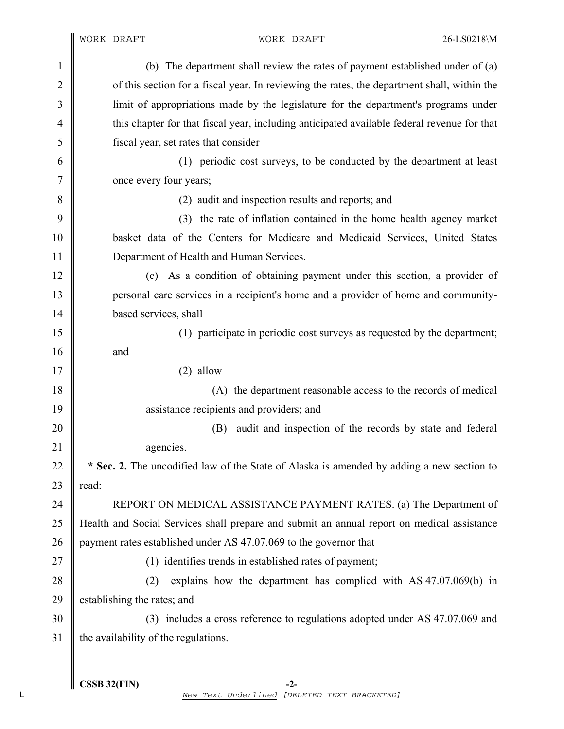| $\mathbf{1}$   | (b) The department shall review the rates of payment established under of (a)               |
|----------------|---------------------------------------------------------------------------------------------|
| $\overline{2}$ | of this section for a fiscal year. In reviewing the rates, the department shall, within the |
| 3              | limit of appropriations made by the legislature for the department's programs under         |
| $\overline{4}$ | this chapter for that fiscal year, including anticipated available federal revenue for that |
| 5              | fiscal year, set rates that consider                                                        |
| 6              | (1) periodic cost surveys, to be conducted by the department at least                       |
| $\tau$         | once every four years;                                                                      |
| 8              | (2) audit and inspection results and reports; and                                           |
| 9              | (3) the rate of inflation contained in the home health agency market                        |
| 10             | basket data of the Centers for Medicare and Medicaid Services, United States                |
| 11             | Department of Health and Human Services.                                                    |
| 12             | (c) As a condition of obtaining payment under this section, a provider of                   |
| 13             | personal care services in a recipient's home and a provider of home and community-          |
| 14             | based services, shall                                                                       |
| 15             | (1) participate in periodic cost surveys as requested by the department;                    |
| 16             | and                                                                                         |
| 17             | $(2)$ allow                                                                                 |
| 18             | (A) the department reasonable access to the records of medical                              |
| 19             | assistance recipients and providers; and                                                    |
| 20             | audit and inspection of the records by state and federal<br>(B)                             |
| 21             | agencies.                                                                                   |
| 22             | * Sec. 2. The uncodified law of the State of Alaska is amended by adding a new section to   |
| 23             | read:                                                                                       |
| 24             | REPORT ON MEDICAL ASSISTANCE PAYMENT RATES. (a) The Department of                           |
| 25             | Health and Social Services shall prepare and submit an annual report on medical assistance  |
| 26             | payment rates established under AS 47.07.069 to the governor that                           |
| 27             | (1) identifies trends in established rates of payment;                                      |
| 28             | explains how the department has complied with AS 47.07.069(b) in<br>(2)                     |
| 29             | establishing the rates; and                                                                 |
| 30             | (3) includes a cross reference to regulations adopted under AS 47.07.069 and                |
| 31             | the availability of the regulations.                                                        |
|                |                                                                                             |